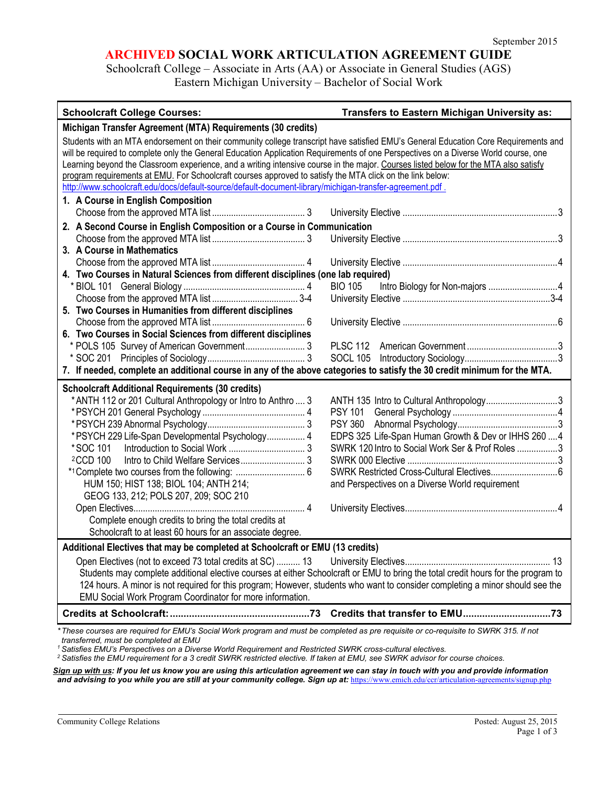## **ARCHIVED SOCIAL WORK ARTICULATION AGREEMENT GUIDE**

Schoolcraft College – Associate in Arts (AA) or Associate in General Studies (AGS) Eastern Michigan University – Bachelor of Social Work

| <b>Schoolcraft College Courses:</b>                                                                                                                                                                                                                                                                                                                                                                                                                                                                                                                                                                                                         | Transfers to Eastern Michigan University as:                                                                                                                                                            |
|---------------------------------------------------------------------------------------------------------------------------------------------------------------------------------------------------------------------------------------------------------------------------------------------------------------------------------------------------------------------------------------------------------------------------------------------------------------------------------------------------------------------------------------------------------------------------------------------------------------------------------------------|---------------------------------------------------------------------------------------------------------------------------------------------------------------------------------------------------------|
| Michigan Transfer Agreement (MTA) Requirements (30 credits)                                                                                                                                                                                                                                                                                                                                                                                                                                                                                                                                                                                 |                                                                                                                                                                                                         |
| Students with an MTA endorsement on their community college transcript have satisfied EMU's General Education Core Requirements and<br>will be required to complete only the General Education Application Requirements of one Perspectives on a Diverse World course, one<br>Learning beyond the Classroom experience, and a writing intensive course in the major. Courses listed below for the MTA also satisfy<br>program requirements at EMU. For Schoolcraft courses approved to satisfy the MTA click on the link below:<br>http://www.schoolcraft.edu/docs/default-source/default-document-library/michigan-transfer-agreement.pdf. |                                                                                                                                                                                                         |
| 1. A Course in English Composition                                                                                                                                                                                                                                                                                                                                                                                                                                                                                                                                                                                                          |                                                                                                                                                                                                         |
|                                                                                                                                                                                                                                                                                                                                                                                                                                                                                                                                                                                                                                             |                                                                                                                                                                                                         |
| 2. A Second Course in English Composition or a Course in Communication                                                                                                                                                                                                                                                                                                                                                                                                                                                                                                                                                                      |                                                                                                                                                                                                         |
|                                                                                                                                                                                                                                                                                                                                                                                                                                                                                                                                                                                                                                             |                                                                                                                                                                                                         |
| 3. A Course in Mathematics                                                                                                                                                                                                                                                                                                                                                                                                                                                                                                                                                                                                                  |                                                                                                                                                                                                         |
|                                                                                                                                                                                                                                                                                                                                                                                                                                                                                                                                                                                                                                             |                                                                                                                                                                                                         |
| 4. Two Courses in Natural Sciences from different disciplines (one lab required)                                                                                                                                                                                                                                                                                                                                                                                                                                                                                                                                                            |                                                                                                                                                                                                         |
|                                                                                                                                                                                                                                                                                                                                                                                                                                                                                                                                                                                                                                             | <b>BIO 105</b>                                                                                                                                                                                          |
|                                                                                                                                                                                                                                                                                                                                                                                                                                                                                                                                                                                                                                             |                                                                                                                                                                                                         |
| 5. Two Courses in Humanities from different disciplines                                                                                                                                                                                                                                                                                                                                                                                                                                                                                                                                                                                     |                                                                                                                                                                                                         |
| 6. Two Courses in Social Sciences from different disciplines                                                                                                                                                                                                                                                                                                                                                                                                                                                                                                                                                                                |                                                                                                                                                                                                         |
| * POLS 105 Survey of American Government 3                                                                                                                                                                                                                                                                                                                                                                                                                                                                                                                                                                                                  |                                                                                                                                                                                                         |
|                                                                                                                                                                                                                                                                                                                                                                                                                                                                                                                                                                                                                                             |                                                                                                                                                                                                         |
| 7. If needed, complete an additional course in any of the above categories to satisfy the 30 credit minimum for the MTA.                                                                                                                                                                                                                                                                                                                                                                                                                                                                                                                    |                                                                                                                                                                                                         |
| <b>Schoolcraft Additional Requirements (30 credits)</b>                                                                                                                                                                                                                                                                                                                                                                                                                                                                                                                                                                                     |                                                                                                                                                                                                         |
| * ANTH 112 or 201 Cultural Anthropology or Intro to Anthro  3<br>*PSYCH 229 Life-Span Developmental Psychology 4<br>*SOC 101<br><sup>2</sup> CCD 100<br>HUM 150; HIST 138; BIOL 104; ANTH 214;<br>GEOG 133, 212; POLS 207, 209; SOC 210                                                                                                                                                                                                                                                                                                                                                                                                     | ANTH 135 Intro to Cultural Anthropology3<br>EDPS 325 Life-Span Human Growth & Dev or IHHS 260  4<br>SWRK 120 Intro to Social Work Ser & Prof Roles 3<br>and Perspectives on a Diverse World requirement |
|                                                                                                                                                                                                                                                                                                                                                                                                                                                                                                                                                                                                                                             |                                                                                                                                                                                                         |
| Complete enough credits to bring the total credits at                                                                                                                                                                                                                                                                                                                                                                                                                                                                                                                                                                                       |                                                                                                                                                                                                         |
| Schoolcraft to at least 60 hours for an associate degree.                                                                                                                                                                                                                                                                                                                                                                                                                                                                                                                                                                                   |                                                                                                                                                                                                         |
| Additional Electives that may be completed at Schoolcraft or EMU (13 credits)                                                                                                                                                                                                                                                                                                                                                                                                                                                                                                                                                               |                                                                                                                                                                                                         |
| Open Electives (not to exceed 73 total credits at SC)  13<br>Students may complete additional elective courses at either Schoolcraft or EMU to bring the total credit hours for the program to<br>124 hours. A minor is not required for this program; However, students who want to consider completing a minor should see the<br>EMU Social Work Program Coordinator for more information.                                                                                                                                                                                                                                                |                                                                                                                                                                                                         |
|                                                                                                                                                                                                                                                                                                                                                                                                                                                                                                                                                                                                                                             |                                                                                                                                                                                                         |
| *These courses are required for EMU's Social Work program and must be completed as pre requisite or co-requisite to SWRK 315. If not<br>transferred, must be completed at EMU                                                                                                                                                                                                                                                                                                                                                                                                                                                               |                                                                                                                                                                                                         |

*<sup>1</sup> Satisfies EMU's Perspectives on a Diverse World Requirement and Restricted SWRK cross-cultural electives.*

*<sup>2</sup> Satisfies the EMU requirement for a 3 credit SWRK restricted elective. If taken at EMU, see SWRK advisor for course choices.*

*Sign up with us: If you let us know you are using this articulation agreement we can stay in touch with you and provide information*  and advising to you while you are still at your community college. Sign up at: <https://www.emich.edu/ccr/articulation-agreements/signup.php>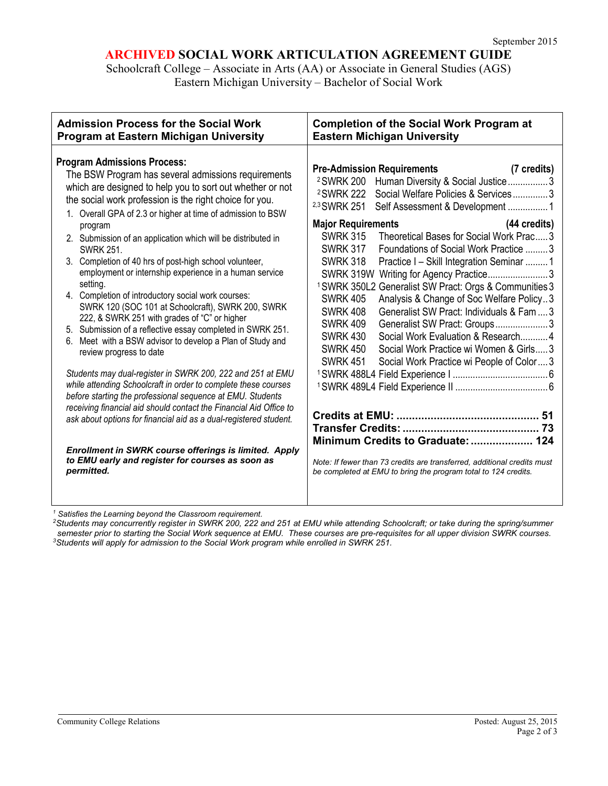# **ARCHIVED SOCIAL WORK ARTICULATION AGREEMENT GUIDE**

Schoolcraft College – Associate in Arts (AA) or Associate in General Studies (AGS) Eastern Michigan University – Bachelor of Social Work

| <b>Admission Process for the Social Work</b><br>Program at Eastern Michigan University                                                                                                                                                                                                                                                                                                                                                                                                                                                                                | <b>Completion of the Social Work Program at</b><br><b>Eastern Michigan University</b>                                                                                                                                                                                                                                                                                                                                                                                                                                                                                                             |
|-----------------------------------------------------------------------------------------------------------------------------------------------------------------------------------------------------------------------------------------------------------------------------------------------------------------------------------------------------------------------------------------------------------------------------------------------------------------------------------------------------------------------------------------------------------------------|---------------------------------------------------------------------------------------------------------------------------------------------------------------------------------------------------------------------------------------------------------------------------------------------------------------------------------------------------------------------------------------------------------------------------------------------------------------------------------------------------------------------------------------------------------------------------------------------------|
| <b>Program Admissions Process:</b><br>The BSW Program has several admissions requirements<br>which are designed to help you to sort out whether or not<br>the social work profession is the right choice for you.<br>1. Overall GPA of 2.3 or higher at time of admission to BSW<br>program<br>2. Submission of an application which will be distributed in<br><b>SWRK 251.</b><br>3. Completion of 40 hrs of post-high school volunteer,<br>employment or internship experience in a human service<br>setting.<br>4. Completion of introductory social work courses: | <b>Pre-Admission Requirements</b><br>(7 credits)<br>Human Diversity & Social Justice3<br><sup>2</sup> SWRK 200<br>Social Welfare Policies & Services3<br><sup>2</sup> SWRK 222<br><sup>2,3</sup> SWRK 251<br>Self Assessment & Development 1<br><b>Major Requirements</b><br>(44 credits)<br>Theoretical Bases for Social Work Prac3<br><b>SWRK 315</b><br><b>SWRK 317</b><br>Foundations of Social Work Practice 3<br><b>SWRK 318</b><br>Practice I - Skill Integration Seminar 1<br>SWRK 319W Writing for Agency Practice3<br><sup>1</sup> SWRK 350L2 Generalist SW Pract: Orgs & Communities 3 |
| SWRK 120 (SOC 101 at Schoolcraft), SWRK 200, SWRK<br>222, & SWRK 251 with grades of "C" or higher<br>5. Submission of a reflective essay completed in SWRK 251.<br>Meet with a BSW advisor to develop a Plan of Study and<br>review progress to date                                                                                                                                                                                                                                                                                                                  | <b>SWRK 405</b><br>Analysis & Change of Soc Welfare Policy3<br><b>SWRK 408</b><br>Generalist SW Pract: Individuals & Fam  3<br><b>SWRK 409</b><br>Generalist SW Pract: Groups 3<br>Social Work Evaluation & Research 4<br><b>SWRK 430</b><br><b>SWRK 450</b><br>Social Work Practice wi Women & Girls3<br><b>SWRK 451</b><br>Social Work Practice wi People of Color3                                                                                                                                                                                                                             |
| Students may dual-register in SWRK 200, 222 and 251 at EMU<br>while attending Schoolcraft in order to complete these courses<br>before starting the professional sequence at EMU. Students<br>receiving financial aid should contact the Financial Aid Office to                                                                                                                                                                                                                                                                                                      |                                                                                                                                                                                                                                                                                                                                                                                                                                                                                                                                                                                                   |
| ask about options for financial aid as a dual-registered student.                                                                                                                                                                                                                                                                                                                                                                                                                                                                                                     | Minimum Credits to Graduate:  124                                                                                                                                                                                                                                                                                                                                                                                                                                                                                                                                                                 |
| Enrollment in SWRK course offerings is limited. Apply<br>to EMU early and register for courses as soon as<br>permitted.                                                                                                                                                                                                                                                                                                                                                                                                                                               | Note: If fewer than 73 credits are transferred, additional credits must<br>be completed at EMU to bring the program total to 124 credits.                                                                                                                                                                                                                                                                                                                                                                                                                                                         |

*<sup>1</sup> Satisfies the Learning beyond the Classroom requirement.*

*2Students may concurrently register in SWRK 200, 222 and 251 at EMU while attending Schoolcraft; or take during the spring/summer semester prior to starting the Social Work sequence at EMU. These courses are pre-requisites for all upper division SWRK courses. 3Students will apply for admission to the Social Work program while enrolled in SWRK 251.*